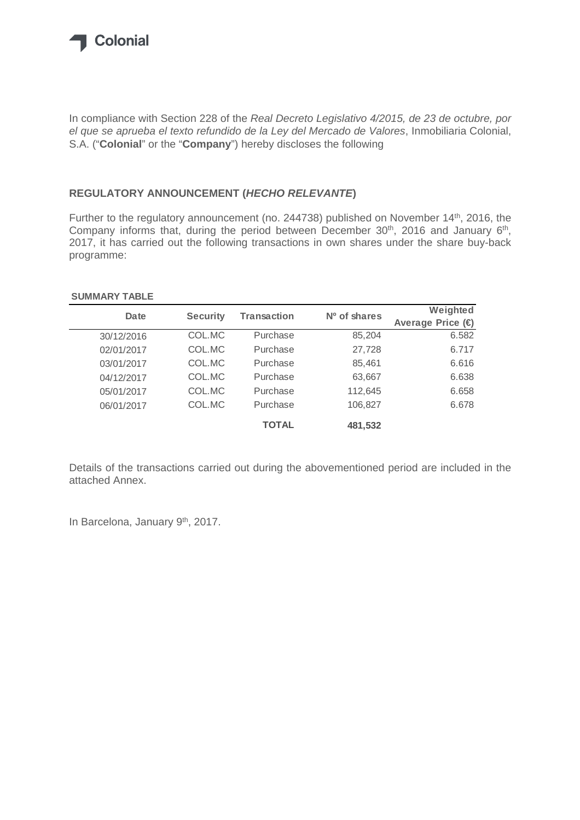

In compliance with Section 228 of the *Real Decreto Legislativo 4/2015, de 23 de octubre, por el que se aprueba el texto refundido de la Ley del Mercado de Valores*, Inmobiliaria Colonial, S.A. ("**Colonial**" or the "**Company**") hereby discloses the following

## **REGULATORY ANNOUNCEMENT (***HECHO RELEVANTE***)**

Further to the regulatory announcement (no. 244738) published on November 14<sup>th</sup>, 2016, the Company informs that, during the period between December  $30<sup>th</sup>$ , 2016 and January  $6<sup>th</sup>$ , 2017, it has carried out the following transactions in own shares under the share buy-back programme:

## **SUMMARY TABLE**

| Date       | <b>Security</b> | <b>Transaction</b> | Nº of shares | Weighted         |
|------------|-----------------|--------------------|--------------|------------------|
|            |                 |                    |              | Average Price (€ |
| 30/12/2016 | COL.MC          | Purchase           | 85,204       | 6.582            |
| 02/01/2017 | COL.MC          | Purchase           | 27,728       | 6.717            |
| 03/01/2017 | COL.MC          | Purchase           | 85,461       | 6.616            |
| 04/12/2017 | COL.MC          | Purchase           | 63,667       | 6.638            |
| 05/01/2017 | COL.MC          | Purchase           | 112,645      | 6.658            |
| 06/01/2017 | COL.MC          | Purchase           | 106,827      | 6.678            |
|            |                 | <b>TOTAL</b>       | 481,532      |                  |

Details of the transactions carried out during the abovementioned period are included in the attached Annex.

In Barcelona, January 9<sup>th</sup>, 2017.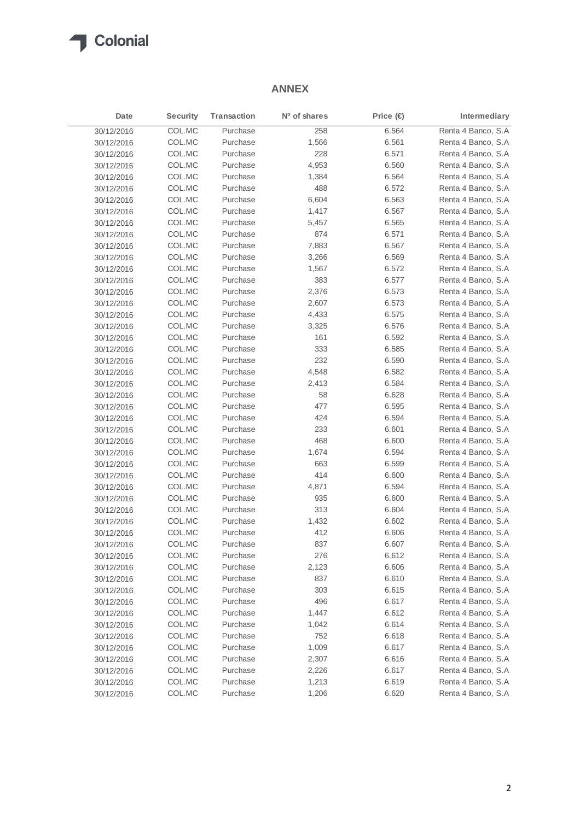

## **ANNEX**

| Date       | <b>Security</b> | <b>Transaction</b> | Nº of shares | Price $\bigoplus$ | Intermediary       |
|------------|-----------------|--------------------|--------------|-------------------|--------------------|
| 30/12/2016 | COL.MC          | Purchase           | 258          | 6.564             | Renta 4 Banco, S.A |
| 30/12/2016 | COL.MC          | Purchase           | 1,566        | 6.561             | Renta 4 Banco, S.A |
| 30/12/2016 | COL.MC          | Purchase           | 228          | 6.571             | Renta 4 Banco, S.A |
| 30/12/2016 | COL.MC          | Purchase           | 4,953        | 6.560             | Renta 4 Banco, S.A |
| 30/12/2016 | COL.MC          | Purchase           | 1,384        | 6.564             | Renta 4 Banco, S.A |
| 30/12/2016 | COL.MC          | Purchase           | 488          | 6.572             | Renta 4 Banco, S.A |
| 30/12/2016 | COL.MC          | Purchase           | 6,604        | 6.563             | Renta 4 Banco, S.A |
| 30/12/2016 | COL.MC          | Purchase           | 1,417        | 6.567             | Renta 4 Banco, S.A |
| 30/12/2016 | COL.MC          | Purchase           | 5,457        | 6.565             | Renta 4 Banco, S.A |
| 30/12/2016 | COL.MC          | Purchase           | 874          | 6.571             | Renta 4 Banco, S.A |
| 30/12/2016 | COL.MC          | Purchase           | 7,883        | 6.567             | Renta 4 Banco, S.A |
| 30/12/2016 | COL.MC          | Purchase           | 3,266        | 6.569             | Renta 4 Banco, S.A |
| 30/12/2016 | COL.MC          | Purchase           | 1,567        | 6.572             | Renta 4 Banco, S.A |
| 30/12/2016 | COL.MC          | Purchase           | 383          | 6.577             | Renta 4 Banco, S.A |
| 30/12/2016 | COL.MC          | Purchase           | 2,376        | 6.573             | Renta 4 Banco, S.A |
| 30/12/2016 | COL.MC          | Purchase           | 2,607        | 6.573             | Renta 4 Banco, S.A |
| 30/12/2016 | COL.MC          | Purchase           | 4,433        | 6.575             | Renta 4 Banco, S.A |
| 30/12/2016 | COL.MC          | Purchase           | 3,325        | 6.576             | Renta 4 Banco, S.A |
| 30/12/2016 | COL.MC          | Purchase           | 161          | 6.592             | Renta 4 Banco, S.A |
| 30/12/2016 | COL.MC          | Purchase           | 333          | 6.585             | Renta 4 Banco, S.A |
| 30/12/2016 | COL.MC          | Purchase           | 232          | 6.590             | Renta 4 Banco, S.A |
| 30/12/2016 | COL.MC          | Purchase           | 4,548        | 6.582             | Renta 4 Banco, S.A |
| 30/12/2016 | COL.MC          | Purchase           | 2,413        | 6.584             | Renta 4 Banco, S.A |
| 30/12/2016 | COL.MC          | Purchase           | 58           | 6.628             | Renta 4 Banco, S.A |
| 30/12/2016 | COL.MC          | Purchase           | 477          | 6.595             | Renta 4 Banco, S.A |
| 30/12/2016 | COL.MC          | Purchase           | 424          | 6.594             | Renta 4 Banco, S.A |
| 30/12/2016 | COL.MC          | Purchase           | 233          | 6.601             | Renta 4 Banco, S.A |
| 30/12/2016 | COL.MC          | Purchase           | 468          | 6.600             | Renta 4 Banco, S.A |
| 30/12/2016 | COL.MC          | Purchase           | 1,674        | 6.594             | Renta 4 Banco, S.A |
| 30/12/2016 | COL.MC          | Purchase           | 663          | 6.599             | Renta 4 Banco, S.A |
| 30/12/2016 | COL.MC          | Purchase           | 414          | 6.600             | Renta 4 Banco, S.A |
| 30/12/2016 | COL.MC          | Purchase           | 4,871        | 6.594             | Renta 4 Banco, S.A |
| 30/12/2016 | COL.MC          | Purchase           | 935          | 6.600             | Renta 4 Banco, S.A |
| 30/12/2016 | COL.MC          | Purchase           | 313          | 6.604             | Renta 4 Banco, S.A |
| 30/12/2016 | COL.MC          | Purchase           | 1,432        | 6.602             | Renta 4 Banco, S.A |
| 30/12/2016 | COL.MC          | Purchase           | 412          | 6.606             | Renta 4 Banco, S.A |
| 30/12/2016 | COL.MC          | Purchase           | 837          | 6.607             | Renta 4 Banco, S.A |
| 30/12/2016 | COL.MC          | Purchase           | 276          | 6.612             | Renta 4 Banco, S.A |
| 30/12/2016 | COL.MC          | Purchase           | 2,123        | 6.606             | Renta 4 Banco, S.A |
| 30/12/2016 | COL.MC          | Purchase           | 837          | 6.610             | Renta 4 Banco, S.A |
| 30/12/2016 | COL.MC          | Purchase           | 303          | 6.615             | Renta 4 Banco, S.A |
| 30/12/2016 | COL.MC          | Purchase           | 496          | 6.617             | Renta 4 Banco, S.A |
| 30/12/2016 | COL.MC          | Purchase           | 1,447        | 6.612             | Renta 4 Banco, S.A |
| 30/12/2016 | COL.MC          | Purchase           | 1,042        | 6.614             | Renta 4 Banco, S.A |
| 30/12/2016 | COL.MC          | Purchase           | 752          | 6.618             | Renta 4 Banco, S.A |
| 30/12/2016 | COL.MC          | Purchase           | 1,009        | 6.617             | Renta 4 Banco, S.A |
| 30/12/2016 | COL.MC          | Purchase           | 2,307        | 6.616             | Renta 4 Banco, S.A |
| 30/12/2016 | COL.MC          | Purchase           | 2,226        | 6.617             | Renta 4 Banco, S.A |
| 30/12/2016 | COL.MC          | Purchase           | 1,213        | 6.619             | Renta 4 Banco, S.A |
| 30/12/2016 | COL.MC          | Purchase           | 1,206        | 6.620             | Renta 4 Banco, S.A |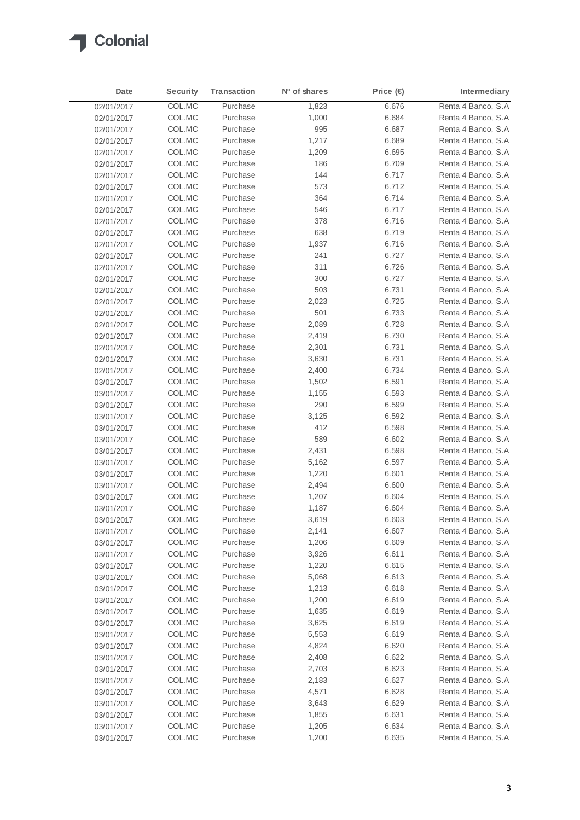

| Date       | <b>Security</b> | <b>Transaction</b> | Nº of shares | Price $\bigoplus$ | Intermediary       |
|------------|-----------------|--------------------|--------------|-------------------|--------------------|
| 02/01/2017 | COL.MC          | Purchase           | 1,823        | 6.676             | Renta 4 Banco, S.A |
| 02/01/2017 | COL.MC          | Purchase           | 1,000        | 6.684             | Renta 4 Banco, S.A |
| 02/01/2017 | COL.MC          | Purchase           | 995          | 6.687             | Renta 4 Banco, S.A |
| 02/01/2017 | COL.MC          | Purchase           | 1,217        | 6.689             | Renta 4 Banco, S.A |
| 02/01/2017 | COL.MC          | Purchase           | 1,209        | 6.695             | Renta 4 Banco, S.A |
| 02/01/2017 | COL.MC          | Purchase           | 186          | 6.709             | Renta 4 Banco, S.A |
| 02/01/2017 | COL.MC          | Purchase           | 144          | 6.717             | Renta 4 Banco, S.A |
| 02/01/2017 | COL.MC          | Purchase           | 573          | 6.712             | Renta 4 Banco, S.A |
| 02/01/2017 | COL.MC          | Purchase           | 364          | 6.714             | Renta 4 Banco, S.A |
| 02/01/2017 | COL.MC          | Purchase           | 546          | 6.717             | Renta 4 Banco, S.A |
| 02/01/2017 | COL.MC          | Purchase           | 378          | 6.716             | Renta 4 Banco, S.A |
| 02/01/2017 | COL.MC          | Purchase           | 638          | 6.719             | Renta 4 Banco, S.A |
| 02/01/2017 | COL.MC          | Purchase           | 1,937        | 6.716             | Renta 4 Banco, S.A |
| 02/01/2017 | COL.MC          | Purchase           | 241          | 6.727             | Renta 4 Banco, S.A |
| 02/01/2017 | COL.MC          | Purchase           | 311          | 6.726             | Renta 4 Banco, S.A |
| 02/01/2017 | COL.MC          | Purchase           | 300          | 6.727             | Renta 4 Banco, S.A |
| 02/01/2017 | COL.MC          | Purchase           | 503          | 6.731             | Renta 4 Banco, S.A |
| 02/01/2017 | COL.MC          | Purchase           | 2,023        | 6.725             | Renta 4 Banco, S.A |
| 02/01/2017 | COL.MC          | Purchase           | 501          | 6.733             | Renta 4 Banco, S.A |
| 02/01/2017 | COL.MC          | Purchase           | 2,089        | 6.728             | Renta 4 Banco, S.A |
| 02/01/2017 | COL.MC          | Purchase           | 2,419        | 6.730             | Renta 4 Banco, S.A |
| 02/01/2017 | COL.MC          | Purchase           | 2,301        | 6.731             | Renta 4 Banco, S.A |
| 02/01/2017 | COL.MC          | Purchase           | 3,630        | 6.731             | Renta 4 Banco, S.A |
| 02/01/2017 | COL.MC          | Purchase           | 2,400        | 6.734             | Renta 4 Banco, S.A |
| 03/01/2017 | COL.MC          | Purchase           | 1,502        | 6.591             | Renta 4 Banco, S.A |
| 03/01/2017 | COL.MC          | Purchase           | 1,155        | 6.593             | Renta 4 Banco, S.A |
| 03/01/2017 | COL.MC          | Purchase           | 290          | 6.599             | Renta 4 Banco, S.A |
| 03/01/2017 | COL.MC          | Purchase           | 3,125        | 6.592             | Renta 4 Banco, S.A |
| 03/01/2017 | COL.MC          | Purchase           | 412          | 6.598             | Renta 4 Banco, S.A |
| 03/01/2017 | COL.MC          | Purchase           | 589          | 6.602             | Renta 4 Banco, S.A |
| 03/01/2017 | COL.MC          | Purchase           | 2,431        | 6.598             | Renta 4 Banco, S.A |
| 03/01/2017 | COL.MC          | Purchase           | 5,162        | 6.597             | Renta 4 Banco, S.A |
| 03/01/2017 | COL.MC          | Purchase           | 1,220        | 6.601             | Renta 4 Banco, S.A |
| 03/01/2017 | COL.MC          | Purchase           | 2,494        | 6.600             | Renta 4 Banco, S.A |
| 03/01/2017 | COL.MC          | Purchase           | 1,207        | 6.604             | Renta 4 Banco, S.A |
| 03/01/2017 | COL.MC          | Purchase           | 1,187        | 6.604             | Renta 4 Banco, S.A |
| 03/01/2017 | COL.MC          | Purchase           | 3,619        | 6.603             | Renta 4 Banco, S.A |
| 03/01/2017 | COL.MC          | Purchase           | 2,141        | 6.607             | Renta 4 Banco, S.A |
| 03/01/2017 | COL.MC          | Purchase           | 1,206        | 6.609             | Renta 4 Banco, S.A |
| 03/01/2017 | COL.MC          | Purchase           | 3,926        | 6.611             | Renta 4 Banco, S.A |
| 03/01/2017 | COL.MC          | Purchase           | 1,220        | 6.615             | Renta 4 Banco, S.A |
| 03/01/2017 | COL.MC          | Purchase           | 5,068        | 6.613             | Renta 4 Banco, S.A |
| 03/01/2017 | COL.MC          | Purchase           | 1,213        | 6.618             | Renta 4 Banco, S.A |
| 03/01/2017 | COL.MC          | Purchase           | 1,200        | 6.619             | Renta 4 Banco, S.A |
| 03/01/2017 | COL.MC          | Purchase           | 1,635        | 6.619             | Renta 4 Banco, S.A |
| 03/01/2017 | COL.MC          | Purchase           | 3,625        | 6.619             | Renta 4 Banco, S.A |
| 03/01/2017 | COL.MC          | Purchase           | 5,553        | 6.619             | Renta 4 Banco, S.A |
| 03/01/2017 | COL.MC          | Purchase           | 4,824        | 6.620             | Renta 4 Banco, S.A |
| 03/01/2017 | COL.MC          | Purchase           | 2,408        | 6.622             | Renta 4 Banco, S.A |
| 03/01/2017 | COL.MC          | Purchase           | 2,703        | 6.623             | Renta 4 Banco, S.A |
| 03/01/2017 | COL.MC          | Purchase           | 2,183        | 6.627             | Renta 4 Banco, S.A |
| 03/01/2017 | COL.MC          | Purchase           | 4,571        | 6.628             | Renta 4 Banco, S.A |
| 03/01/2017 | COL.MC          | Purchase           | 3,643        | 6.629             | Renta 4 Banco, S.A |
| 03/01/2017 | COL.MC          | Purchase           | 1,855        | 6.631             | Renta 4 Banco, S.A |
| 03/01/2017 | COL.MC          | Purchase           | 1,205        | 6.634             | Renta 4 Banco, S.A |
| 03/01/2017 | COL.MC          | Purchase           | 1,200        | 6.635             | Renta 4 Banco, S.A |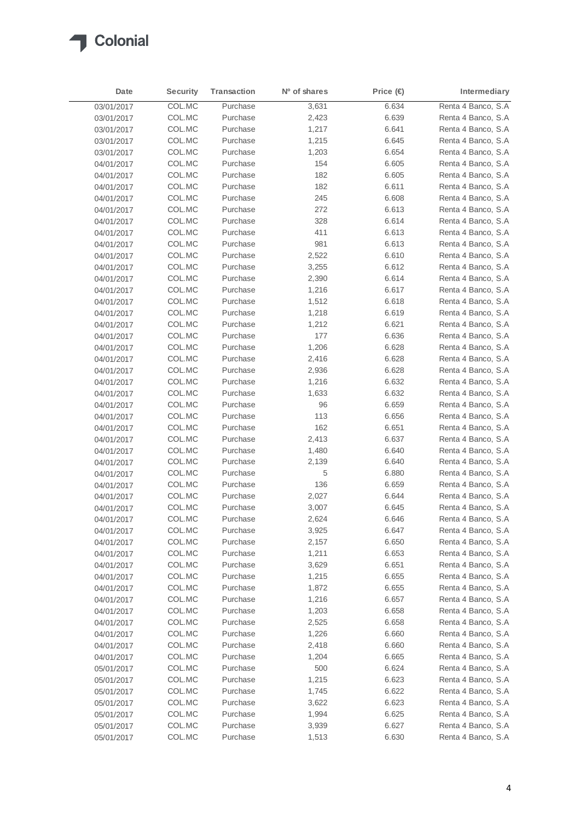

| Date       | Security | <b>Transaction</b> | Nº of shares | Price (€ | Intermediary        |
|------------|----------|--------------------|--------------|----------|---------------------|
| 03/01/2017 | COL.MC   | Purchase           | 3,631        | 6.634    | Renta 4 Banco, S.A. |
| 03/01/2017 | COL.MC   | Purchase           | 2,423        | 6.639    | Renta 4 Banco, S.A  |
| 03/01/2017 | COL.MC   | Purchase           | 1,217        | 6.641    | Renta 4 Banco, S.A  |
| 03/01/2017 | COL.MC   | Purchase           | 1,215        | 6.645    | Renta 4 Banco, S.A  |
| 03/01/2017 | COL.MC   | Purchase           | 1,203        | 6.654    | Renta 4 Banco, S.A. |
| 04/01/2017 | COL.MC   | Purchase           | 154          | 6.605    | Renta 4 Banco, S.A  |
| 04/01/2017 | COL.MC   | Purchase           | 182          | 6.605    | Renta 4 Banco, S.A  |
| 04/01/2017 | COL.MC   | Purchase           | 182          | 6.611    | Renta 4 Banco, S.A  |
| 04/01/2017 | COL.MC   | Purchase           | 245          | 6.608    | Renta 4 Banco, S.A  |
| 04/01/2017 | COL.MC   | Purchase           | 272          | 6.613    | Renta 4 Banco, S.A  |
| 04/01/2017 | COL.MC   | Purchase           | 328          | 6.614    | Renta 4 Banco, S.A. |
| 04/01/2017 | COL.MC   | Purchase           | 411          | 6.613    | Renta 4 Banco, S.A  |
| 04/01/2017 | COL.MC   | Purchase           | 981          | 6.613    | Renta 4 Banco, S.A. |
| 04/01/2017 | COL.MC   | Purchase           | 2,522        | 6.610    | Renta 4 Banco, S.A  |
| 04/01/2017 | COL.MC   | Purchase           | 3,255        | 6.612    | Renta 4 Banco, S.A  |
| 04/01/2017 | COL.MC   | Purchase           | 2,390        | 6.614    | Renta 4 Banco, S.A  |
| 04/01/2017 | COL.MC   | Purchase           | 1,216        | 6.617    | Renta 4 Banco, S.A  |
| 04/01/2017 | COL.MC   | Purchase           | 1,512        | 6.618    | Renta 4 Banco, S.A  |
| 04/01/2017 | COL.MC   | Purchase           | 1,218        | 6.619    | Renta 4 Banco, S.A  |
| 04/01/2017 | COL.MC   | Purchase           | 1,212        | 6.621    | Renta 4 Banco, S.A  |
| 04/01/2017 | COL.MC   | Purchase           | 177          | 6.636    | Renta 4 Banco, S.A  |
| 04/01/2017 | COL.MC   | Purchase           | 1,206        | 6.628    | Renta 4 Banco, S.A  |
| 04/01/2017 | COL.MC   | Purchase           | 2,416        | 6.628    | Renta 4 Banco, S.A  |
| 04/01/2017 | COL.MC   | Purchase           | 2,936        | 6.628    | Renta 4 Banco, S.A  |
| 04/01/2017 | COL.MC   | Purchase           | 1,216        | 6.632    | Renta 4 Banco, S.A  |
| 04/01/2017 | COL.MC   | Purchase           | 1,633        | 6.632    | Renta 4 Banco, S.A  |
| 04/01/2017 | COL.MC   | Purchase           | 96           | 6.659    | Renta 4 Banco, S.A  |
| 04/01/2017 | COL.MC   | Purchase           | 113          | 6.656    | Renta 4 Banco, S.A  |
| 04/01/2017 | COL.MC   | Purchase           | 162          | 6.651    | Renta 4 Banco, S.A  |
| 04/01/2017 | COL.MC   | Purchase           | 2,413        | 6.637    | Renta 4 Banco, S.A  |
| 04/01/2017 | COL.MC   | Purchase           | 1,480        | 6.640    | Renta 4 Banco, S.A  |
| 04/01/2017 | COL.MC   | Purchase           | 2,139        | 6.640    | Renta 4 Banco, S.A. |
| 04/01/2017 | COL.MC   | Purchase           | 5            | 6.880    | Renta 4 Banco, S.A  |
| 04/01/2017 | COL.MC   | Purchase           | 136          | 6.659    | Renta 4 Banco, S.A  |
| 04/01/2017 | COL.MC   | Purchase           | 2,027        | 6.644    | Renta 4 Banco, S.A  |
| 04/01/2017 | COL.MC   | Purchase           | 3,007        | 6.645    | Renta 4 Banco, S.A  |
| 04/01/2017 | COL.MC   | Purchase           | 2,624        | 6.646    | Renta 4 Banco, S.A  |
| 04/01/2017 | COL.MC   | Purchase           | 3,925        | 6.647    | Renta 4 Banco, S.A  |
| 04/01/2017 | COL.MC   | Purchase           | 2,157        | 6.650    | Renta 4 Banco, S.A  |
| 04/01/2017 | COL.MC   | Purchase           | 1,211        | 6.653    | Renta 4 Banco, S.A  |
| 04/01/2017 | COL.MC   | Purchase           | 3,629        | 6.651    | Renta 4 Banco, S.A  |
| 04/01/2017 | COL.MC   | Purchase           | 1,215        | 6.655    | Renta 4 Banco, S.A  |
| 04/01/2017 | COL.MC   | Purchase           | 1,872        | 6.655    | Renta 4 Banco, S.A  |
| 04/01/2017 | COL.MC   | Purchase           | 1,216        | 6.657    | Renta 4 Banco, S.A  |
| 04/01/2017 | COL.MC   | Purchase           | 1,203        | 6.658    | Renta 4 Banco, S.A  |
| 04/01/2017 | COL.MC   | Purchase           | 2,525        | 6.658    | Renta 4 Banco, S.A  |
| 04/01/2017 | COL.MC   | Purchase           | 1,226        | 6.660    | Renta 4 Banco, S.A  |
| 04/01/2017 | COL.MC   | Purchase           | 2,418        | 6.660    | Renta 4 Banco, S.A  |
| 04/01/2017 | COL.MC   | Purchase           | 1,204        | 6.665    | Renta 4 Banco, S.A  |
| 05/01/2017 | COL.MC   | Purchase           | 500          | 6.624    | Renta 4 Banco, S.A  |
| 05/01/2017 | COL.MC   | Purchase           | 1,215        | 6.623    | Renta 4 Banco, S.A  |
| 05/01/2017 | COL.MC   | Purchase           | 1,745        | 6.622    | Renta 4 Banco, S.A  |
| 05/01/2017 | COL.MC   | Purchase           | 3,622        | 6.623    | Renta 4 Banco, S.A  |
| 05/01/2017 | COL.MC   | Purchase           | 1,994        | 6.625    | Renta 4 Banco, S.A  |
| 05/01/2017 | COL.MC   | Purchase           | 3,939        | 6.627    | Renta 4 Banco, S.A  |
| 05/01/2017 | COL.MC   | Purchase           | 1,513        | 6.630    | Renta 4 Banco, S.A  |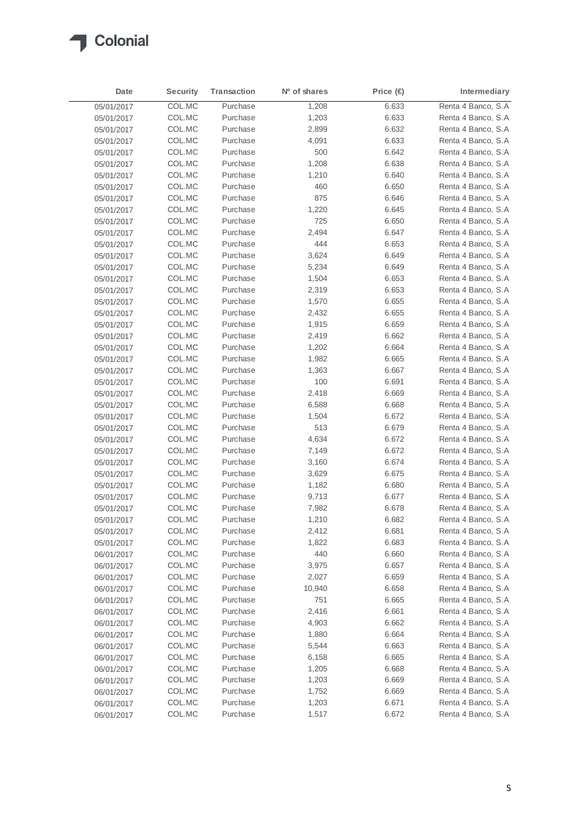

| Date       | <b>Security</b> | Transaction | Nº of shares | Price (€ | Intermediary       |
|------------|-----------------|-------------|--------------|----------|--------------------|
| 05/01/2017 | COL.MC          | Purchase    | 1,208        | 6.633    | Renta 4 Banco, S.A |
| 05/01/2017 | COL.MC          | Purchase    | 1,203        | 6.633    | Renta 4 Banco, S.A |
| 05/01/2017 | COL.MC          | Purchase    | 2,899        | 6.632    | Renta 4 Banco, S.A |
| 05/01/2017 | COL.MC          | Purchase    | 4,091        | 6.633    | Renta 4 Banco, S.A |
| 05/01/2017 | COL.MC          | Purchase    | 500          | 6.642    | Renta 4 Banco, S.A |
| 05/01/2017 | COL.MC          | Purchase    | 1,208        | 6.638    | Renta 4 Banco, S.A |
| 05/01/2017 | COL.MC          | Purchase    | 1,210        | 6.640    | Renta 4 Banco, S.A |
| 05/01/2017 | COL.MC          | Purchase    | 460          | 6.650    | Renta 4 Banco, S.A |
| 05/01/2017 | COL.MC          | Purchase    | 875          | 6.646    | Renta 4 Banco, S.A |
| 05/01/2017 | COL.MC          | Purchase    | 1,220        | 6.645    | Renta 4 Banco, S.A |
| 05/01/2017 | COL.MC          | Purchase    | 725          | 6.650    | Renta 4 Banco, S.A |
| 05/01/2017 | COL.MC          | Purchase    | 2,494        | 6.647    | Renta 4 Banco, S.A |
| 05/01/2017 | COL.MC          | Purchase    | 444          | 6.653    | Renta 4 Banco, S.A |
| 05/01/2017 | COL.MC          | Purchase    | 3,624        | 6.649    | Renta 4 Banco, S.A |
| 05/01/2017 | COL.MC          | Purchase    | 5,234        | 6.649    | Renta 4 Banco, S.A |
| 05/01/2017 | COL.MC          | Purchase    | 1,504        | 6.653    | Renta 4 Banco, S.A |
| 05/01/2017 | COL.MC          | Purchase    | 2,319        | 6.653    | Renta 4 Banco, S.A |
| 05/01/2017 | COL.MC          | Purchase    | 1,570        | 6.655    | Renta 4 Banco, S.A |
| 05/01/2017 | COL.MC          | Purchase    | 2,432        | 6.655    | Renta 4 Banco, S.A |
| 05/01/2017 | COL.MC          | Purchase    | 1,915        | 6.659    | Renta 4 Banco, S.A |
| 05/01/2017 | COL.MC          | Purchase    | 2,419        | 6.662    | Renta 4 Banco, S.A |
| 05/01/2017 | COL.MC          | Purchase    | 1,202        | 6.664    | Renta 4 Banco, S.A |
| 05/01/2017 | COL.MC          | Purchase    | 1,982        | 6.665    | Renta 4 Banco, S.A |
| 05/01/2017 | COL.MC          | Purchase    | 1,363        | 6.667    | Renta 4 Banco, S.A |
| 05/01/2017 | COL.MC          | Purchase    | 100          | 6.691    | Renta 4 Banco, S.A |
| 05/01/2017 | COL.MC          | Purchase    | 2,418        | 6.669    | Renta 4 Banco, S.A |
| 05/01/2017 | COL.MC          | Purchase    | 6,588        | 6.668    | Renta 4 Banco, S.A |
| 05/01/2017 | COL.MC          | Purchase    | 1,504        | 6.672    | Renta 4 Banco, S.A |
| 05/01/2017 | COL.MC          | Purchase    | 513          | 6.679    | Renta 4 Banco, S.A |
| 05/01/2017 | COL.MC          | Purchase    | 4,634        | 6.672    | Renta 4 Banco, S.A |
| 05/01/2017 | COL.MC          | Purchase    | 7,149        | 6.672    | Renta 4 Banco, S.A |
| 05/01/2017 | COL.MC          | Purchase    | 3,160        | 6.674    | Renta 4 Banco, S.A |
| 05/01/2017 | COL.MC          | Purchase    | 3,629        | 6.675    | Renta 4 Banco, S.A |
| 05/01/2017 | COL.MC          | Purchase    | 1,182        | 6.680    | Renta 4 Banco, S.A |
| 05/01/2017 | COL.MC          | Purchase    | 9,713        | 6.677    | Renta 4 Banco, S.A |
| 05/01/2017 | COL.MC          | Purchase    | 7,982        | 6.678    | Renta 4 Banco, S.A |
| 05/01/2017 | COL.MC          | Purchase    | 1,210        | 6.682    | Renta 4 Banco, S.A |
| 05/01/2017 | COL.MC          | Purchase    | 2,412        | 6.681    | Renta 4 Banco, S.A |
| 05/01/2017 | COL.MC          | Purchase    | 1,822        | 6.683    | Renta 4 Banco, S.A |
| 06/01/2017 | COL.MC          | Purchase    | 440          | 6.660    | Renta 4 Banco, S.A |
| 06/01/2017 | COL.MC          | Purchase    | 3,975        | 6.657    | Renta 4 Banco, S.A |
| 06/01/2017 | COL.MC          | Purchase    | 2,027        | 6.659    | Renta 4 Banco, S.A |
| 06/01/2017 | COL.MC          | Purchase    | 10,940       | 6.658    | Renta 4 Banco, S.A |
| 06/01/2017 | COL.MC          | Purchase    | 751          | 6.665    | Renta 4 Banco, S.A |
| 06/01/2017 | COL.MC          | Purchase    | 2,416        | 6.661    | Renta 4 Banco, S.A |
| 06/01/2017 | COL.MC          | Purchase    | 4,903        | 6.662    | Renta 4 Banco, S.A |
| 06/01/2017 | COL.MC          | Purchase    | 1,880        | 6.664    | Renta 4 Banco, S.A |
| 06/01/2017 | COL.MC          | Purchase    | 5,544        | 6.663    | Renta 4 Banco, S.A |
| 06/01/2017 | COL.MC          | Purchase    | 6,158        | 6.665    | Renta 4 Banco, S.A |
| 06/01/2017 | COL.MC          | Purchase    | 1,205        | 6.668    | Renta 4 Banco, S.A |
| 06/01/2017 | COL.MC          | Purchase    | 1,203        | 6.669    | Renta 4 Banco, S.A |
| 06/01/2017 | COL.MC          | Purchase    | 1,752        | 6.669    | Renta 4 Banco, S.A |
| 06/01/2017 | COL.MC          | Purchase    | 1,203        | 6.671    | Renta 4 Banco, S.A |
| 06/01/2017 | COL.MC          | Purchase    | 1,517        | 6.672    | Renta 4 Banco, S.A |